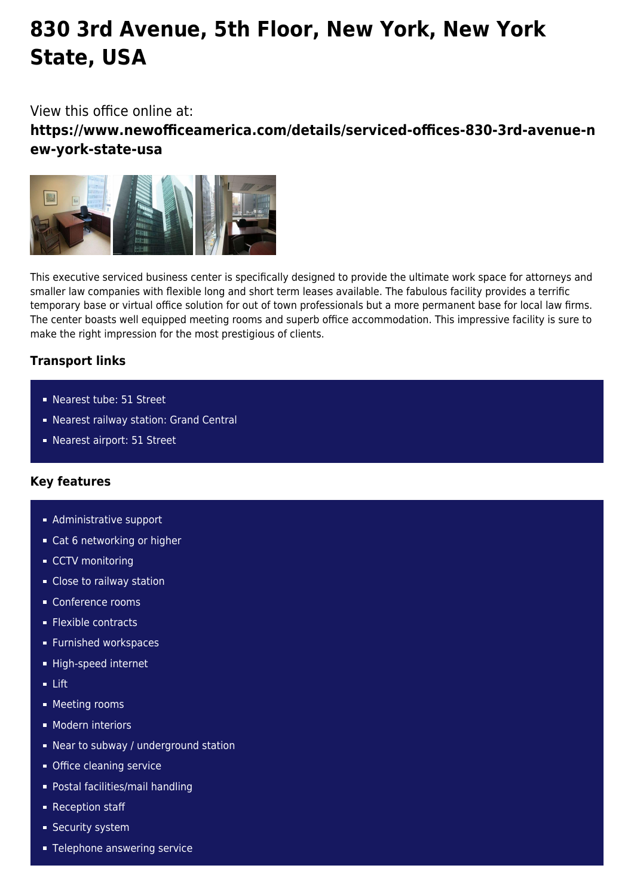# **830 3rd Avenue, 5th Floor, New York, New York State, USA**

## View this office online at:

**https://www.newofficeamerica.com/details/serviced-offices-830-3rd-avenue-n ew-york-state-usa**



This executive serviced business center is specifically designed to provide the ultimate work space for attorneys and smaller law companies with flexible long and short term leases available. The fabulous facility provides a terrific temporary base or virtual office solution for out of town professionals but a more permanent base for local law firms. The center boasts well equipped meeting rooms and superb office accommodation. This impressive facility is sure to make the right impression for the most prestigious of clients.

### **Transport links**

- Nearest tube: 51 Street
- Nearest railway station: Grand Central
- Nearest airport: 51 Street

### **Key features**

- **Administrative support**
- Cat 6 networking or higher
- CCTV monitoring
- Close to railway station
- Conference rooms
- **Flexible contracts**
- **Furnished workspaces**
- High-speed internet
- Lift
- **Meeting rooms**
- **Modern interiors**
- Near to subway / underground station
- **Office cleaning service**
- Postal facilities/mail handling
- **Reception staff**
- **Security system**
- **Telephone answering service**